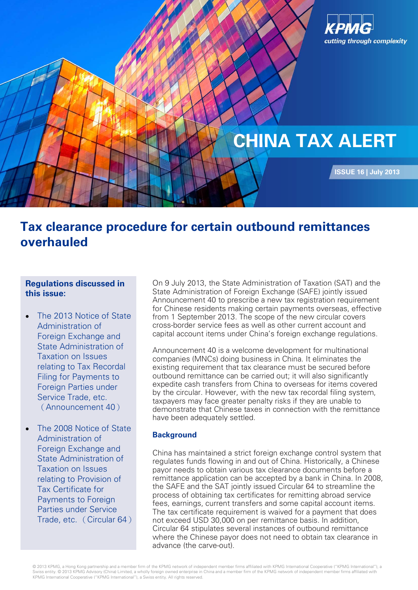

# **Tax clearance procedure for certain outbound remittances overhauled**

# **Regulations discussed in this issue:**

- The 2013 [Notice of State](http://taa.wkinfo.com.cn/document/show?collection=legislation&aid=MTAxMDAwMDAwMTc%3D&language=中文)  [Administration of](http://taa.wkinfo.com.cn/document/show?collection=legislation&aid=MTAxMDAwMDAwMTc%3D&language=中文)  [Foreign Exchange and](http://taa.wkinfo.com.cn/document/show?collection=legislation&aid=MTAxMDAwMDAwMTc%3D&language=中文)  [State Administration of](http://taa.wkinfo.com.cn/document/show?collection=legislation&aid=MTAxMDAwMDAwMTc%3D&language=中文)  [Taxation on Issues](http://taa.wkinfo.com.cn/document/show?collection=legislation&aid=MTAxMDAwMDAwMTc%3D&language=中文)  [relating to Tax Recordal](http://taa.wkinfo.com.cn/document/show?collection=legislation&aid=MTAxMDAwMDAwMTc%3D&language=中文)  [Filing for Payments to](http://taa.wkinfo.com.cn/document/show?collection=legislation&aid=MTAxMDAwMDAwMTc%3D&language=中文)  [Foreign Parties under](http://taa.wkinfo.com.cn/document/show?collection=legislation&aid=MTAxMDAwMDAwMTc%3D&language=中文)  [Service Trade, etc.](http://taa.wkinfo.com.cn/document/show?collection=legislation&aid=MTAxMDAwMDAwMTc%3D&language=中文) (Announcement 40)
- The 2008 Notice of State [Administration of](http://taa.wkinfo.com.cn/document/show?collection=legislation&aid=MTAxMDAwMDAwMTc%3D&language=中文)  [Foreign Exchange and](http://taa.wkinfo.com.cn/document/show?collection=legislation&aid=MTAxMDAwMDAwMTc%3D&language=中文)  [State Administration of](http://taa.wkinfo.com.cn/document/show?collection=legislation&aid=MTAxMDAwMDAwMTc%3D&language=中文)  [Taxation on Issues](http://taa.wkinfo.com.cn/document/show?collection=legislation&aid=MTAxMDAwMDAwMTc%3D&language=中文)  [relating to Provision of](http://taa.wkinfo.com.cn/document/show?collection=legislation&aid=MTAxMDAwMDAwMTc%3D&language=中文)  [Tax Certificate for](http://taa.wkinfo.com.cn/document/show?collection=legislation&aid=MTAxMDAwMDAwMTc%3D&language=中文)  [Payments to Foreign](http://taa.wkinfo.com.cn/document/show?collection=legislation&aid=MTAxMDAwMDAwMTc%3D&language=中文)  [Parties under Service](http://taa.wkinfo.com.cn/document/show?collection=legislation&aid=MTAxMDAwMDAwMTc%3D&language=中文)  [Trade, etc.](http://taa.wkinfo.com.cn/document/show?collection=legislation&aid=MTAxMDAwMDAwMTc%3D&language=中文) (Circular 64)

On 9 July 2013, the State Administration of Taxation (SAT) and the State Administration of Foreign Exchange (SAFE) jointly issued Announcement 40 to prescribe a new tax registration requirement for Chinese residents making certain payments overseas, effective from 1 September 2013. The scope of the new circular covers cross-border service fees as well as other current account and capital account items under China's foreign exchange regulations.

Announcement 40 is a welcome development for multinational companies (MNCs) doing business in China. It eliminates the existing requirement that tax clearance must be secured before outbound remittance can be carried out; it will also significantly expedite cash transfers from China to overseas for items covered by the circular. However, with the new tax recordal filing system, taxpayers may face greater penalty risks if they are unable to demonstrate that Chinese taxes in connection with the remittance have been adequately settled.

# **Background**

China has maintained a strict foreign exchange control system that regulates funds flowing in and out of China. Historically, a Chinese payor needs to obtain various tax clearance documents before a remittance application can be accepted by a bank in China. In 2008, the SAFE and the SAT jointly issued Circular 64 to streamline the process of obtaining tax certificates for remitting abroad service fees, earnings, current transfers and some capital account items. The tax certificate requirement is waived for a payment that does not exceed USD 30,000 on per remittance basis. In addition, Circular 64 stipulates several instances of outbound remittance where the Chinese payor does not need to obtain tax clearance in advance (the carve-out).

© 2013 KPMG, a Hong Kong partnership and a member firm of the KPMG network of independent member firms affiliated with KPMG International Cooperative ("KPMG International"), a Swiss entity. © 2013 KPMG Advisory (China) Limited, a wholly foreign owned enterprise in China and a member firm of the KPMG network of independent member firms affiliated with KPMG International Cooperative ("KPMG International"), a Swiss entity. All rights reserved.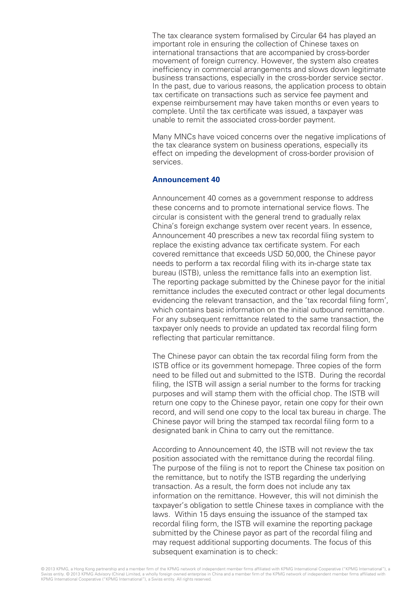The tax clearance system formalised by Circular 64 has played an important role in ensuring the collection of Chinese taxes on international transactions that are accompanied by cross-border movement of foreign currency. However, the system also creates inefficiency in commercial arrangements and slows down legitimate business transactions, especially in the cross-border service sector. In the past, due to various reasons, the application process to obtain tax certificate on transactions such as service fee payment and expense reimbursement may have taken months or even years to complete. Until the tax certificate was issued, a taxpayer was unable to remit the associated cross-border payment.

Many MNCs have voiced concerns over the negative implications of the tax clearance system on business operations, especially its effect on impeding the development of cross-border provision of services.

### **Announcement 40**

Announcement 40 comes as a government response to address these concerns and to promote international service flows. The circular is consistent with the general trend to gradually relax China's foreign exchange system over recent years. In essence, Announcement 40 prescribes a new tax recordal filing system to replace the existing advance tax certificate system. For each covered remittance that exceeds USD 50,000, the Chinese payor needs to perform a tax recordal filing with its in-charge state tax bureau (ISTB), unless the remittance falls into an exemption list. The reporting package submitted by the Chinese payor for the initial remittance includes the executed contract or other legal documents evidencing the relevant transaction, and the 'tax recordal filing form', which contains basic information on the initial outbound remittance. For any subsequent remittance related to the same transaction, the taxpayer only needs to provide an updated tax recordal filing form reflecting that particular remittance.

The Chinese payor can obtain the tax recordal filing form from the ISTB office or its government homepage. Three copies of the form need to be filled out and submitted to the ISTB. During the recordal filing, the ISTB will assign a serial number to the forms for tracking purposes and will stamp them with the official chop. The ISTB will return one copy to the Chinese payor, retain one copy for their own record, and will send one copy to the local tax bureau in charge. The Chinese payor will bring the stamped tax recordal filing form to a designated bank in China to carry out the remittance.

According to Announcement 40, the ISTB will not review the tax position associated with the remittance during the recordal filing. The purpose of the filing is not to report the Chinese tax position on the remittance, but to notify the ISTB regarding the underlying transaction. As a result, the form does not include any tax information on the remittance. However, this will not diminish the taxpayer's obligation to settle Chinese taxes in compliance with the laws. Within 15 days ensuing the issuance of the stamped tax recordal filing form, the ISTB will examine the reporting package submitted by the Chinese payor as part of the recordal filing and may request additional supporting documents. The focus of this subsequent examination is to check: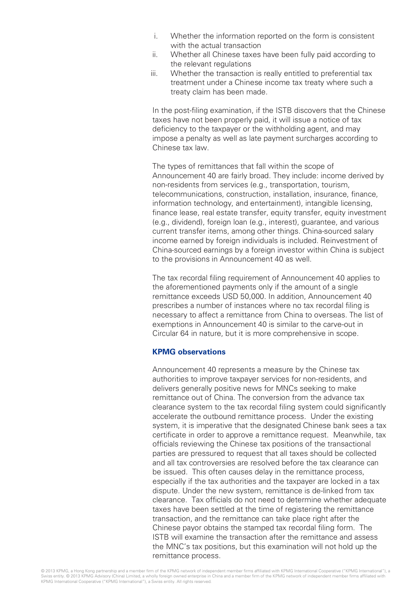- i. Whether the information reported on the form is consistent with the actual transaction
- ii. Whether all Chinese taxes have been fully paid according to the relevant regulations
- iii. Whether the transaction is really entitled to preferential tax treatment under a Chinese income tax treaty where such a treaty claim has been made.

In the post-filing examination, if the ISTB discovers that the Chinese taxes have not been properly paid, it will issue a notice of tax deficiency to the taxpayer or the withholding agent, and may impose a penalty as well as late payment surcharges according to Chinese tax law.

The types of remittances that fall within the scope of Announcement 40 are fairly broad. They include: income derived by non-residents from services (e.g., transportation, tourism, telecommunications, construction, installation, insurance, finance, information technology, and entertainment), intangible licensing, finance lease, real estate transfer, equity transfer, equity investment (e.g., dividend), foreign loan (e.g., interest), guarantee, and various current transfer items, among other things. China-sourced salary income earned by foreign individuals is included. Reinvestment of China-sourced earnings by a foreign investor within China is subject to the provisions in Announcement 40 as well.

The tax recordal filing requirement of Announcement 40 applies to the aforementioned payments only if the amount of a single remittance exceeds USD 50,000. In addition, Announcement 40 prescribes a number of instances where no tax recordal filing is necessary to affect a remittance from China to overseas. The list of exemptions in Announcement 40 is similar to the carve-out in Circular 64 in nature, but it is more comprehensive in scope.

# **KPMG observations**

Announcement 40 represents a measure by the Chinese tax authorities to improve taxpayer services for non-residents, and delivers generally positive news for MNCs seeking to make remittance out of China. The conversion from the advance tax clearance system to the tax recordal filing system could significantly accelerate the outbound remittance process. Under the existing system, it is imperative that the designated Chinese bank sees a tax certificate in order to approve a remittance request. Meanwhile, tax officials reviewing the Chinese tax positions of the transactional parties are pressured to request that all taxes should be collected and all tax controversies are resolved before the tax clearance can be issued. This often causes delay in the remittance process, especially if the tax authorities and the taxpayer are locked in a tax dispute. Under the new system, remittance is de-linked from tax clearance. Tax officials do not need to determine whether adequate taxes have been settled at the time of registering the remittance transaction, and the remittance can take place right after the Chinese payor obtains the stamped tax recordal filing form. The ISTB will examine the transaction after the remittance and assess the MNC's tax positions, but this examination will not hold up the remittance process.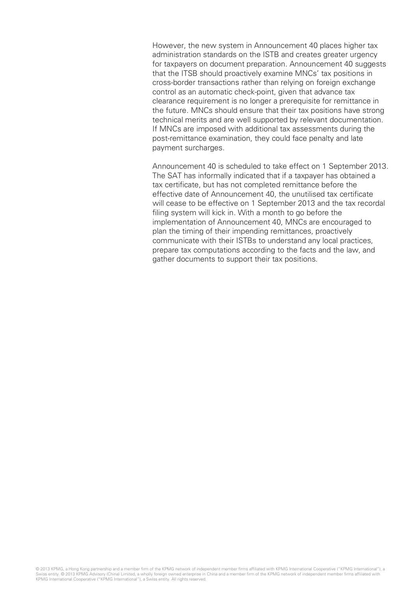However, the new system in Announcement 40 places higher tax administration standards on the ISTB and creates greater urgency for taxpayers on document preparation. Announcement 40 suggests that the ITSB should proactively examine MNCs' tax positions in cross-border transactions rather than relying on foreign exchange control as an automatic check-point, given that advance tax clearance requirement is no longer a prerequisite for remittance in the future. MNCs should ensure that their tax positions have strong technical merits and are well supported by relevant documentation. If MNCs are imposed with additional tax assessments during the post-remittance examination, they could face penalty and late payment surcharges.

Announcement 40 is scheduled to take effect on 1 September 2013. The SAT has informally indicated that if a taxpayer has obtained a tax certificate, but has not completed remittance before the effective date of Announcement 40, the unutilised tax certificate will cease to be effective on 1 September 2013 and the tax recordal filing system will kick in. With a month to go before the implementation of Announcement 40, MNCs are encouraged to plan the timing of their impending remittances, proactively communicate with their ISTBs to understand any local practices, prepare tax computations according to the facts and the law, and gather documents to support their tax positions.